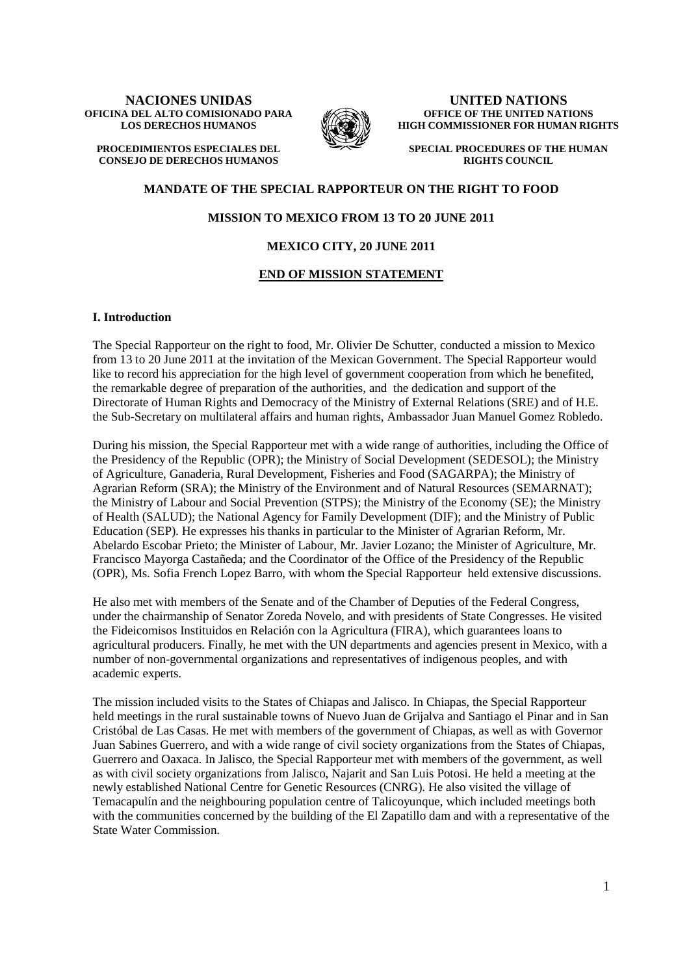#### **NACIONES UNIDAS OFICINA DEL ALTO COMISIONADO PARA LOS DERECHOS HUMANOS**

**PROCEDIMIENTOS ESPECIALES DEL CONSEJO DE DERECHOS HUMANOS**



**UNITED NATIONS OFFICE OF THE UNITED NATIONS HIGH COMMISSIONER FOR HUMAN RIGHTS** 

**SPECIAL PROCEDURES OF THE HUMAN RIGHTS COUNCIL**

# **MANDATE OF THE SPECIAL RAPPORTEUR ON THE RIGHT TO FOOD**

# **MISSION TO MEXICO FROM 13 TO 20 JUNE 2011**

## **MEXICO CITY, 20 JUNE 2011**

### **END OF MISSION STATEMENT**

#### **I. Introduction**

The Special Rapporteur on the right to food, Mr. Olivier De Schutter, conducted a mission to Mexico from 13 to 20 June 2011 at the invitation of the Mexican Government. The Special Rapporteur would like to record his appreciation for the high level of government cooperation from which he benefited, the remarkable degree of preparation of the authorities, and the dedication and support of the Directorate of Human Rights and Democracy of the Ministry of External Relations (SRE) and of H.E. the Sub-Secretary on multilateral affairs and human rights, Ambassador Juan Manuel Gomez Robledo.

During his mission, the Special Rapporteur met with a wide range of authorities, including the Office of the Presidency of the Republic (OPR); the Ministry of Social Development (SEDESOL); the Ministry of Agriculture, Ganaderia, Rural Development, Fisheries and Food (SAGARPA); the Ministry of Agrarian Reform (SRA); the Ministry of the Environment and of Natural Resources (SEMARNAT); the Ministry of Labour and Social Prevention (STPS); the Ministry of the Economy (SE); the Ministry of Health (SALUD); the National Agency for Family Development (DIF); and the Ministry of Public Education (SEP). He expresses his thanks in particular to the Minister of Agrarian Reform, Mr. Abelardo Escobar Prieto; the Minister of Labour, Mr. Javier Lozano; the Minister of Agriculture, Mr. Francisco Mayorga Castañeda; and the Coordinator of the Office of the Presidency of the Republic (OPR), Ms. Sofia French Lopez Barro, with whom the Special Rapporteur held extensive discussions.

He also met with members of the Senate and of the Chamber of Deputies of the Federal Congress, under the chairmanship of Senator Zoreda Novelo, and with presidents of State Congresses. He visited the Fideicomisos Instituidos en Relación con la Agricultura (FIRA), which guarantees loans to agricultural producers. Finally, he met with the UN departments and agencies present in Mexico, with a number of non-governmental organizations and representatives of indigenous peoples, and with academic experts.

The mission included visits to the States of Chiapas and Jalisco. In Chiapas, the Special Rapporteur held meetings in the rural sustainable towns of Nuevo Juan de Grijalva and Santiago el Pinar and in San Cristóbal de Las Casas. He met with members of the government of Chiapas, as well as with Governor Juan Sabines Guerrero, and with a wide range of civil society organizations from the States of Chiapas, Guerrero and Oaxaca. In Jalisco, the Special Rapporteur met with members of the government, as well as with civil society organizations from Jalisco, Najarit and San Luis Potosi. He held a meeting at the newly established National Centre for Genetic Resources (CNRG). He also visited the village of Temacapulín and the neighbouring population centre of Talicoyunque, which included meetings both with the communities concerned by the building of the El Zapatillo dam and with a representative of the State Water Commission.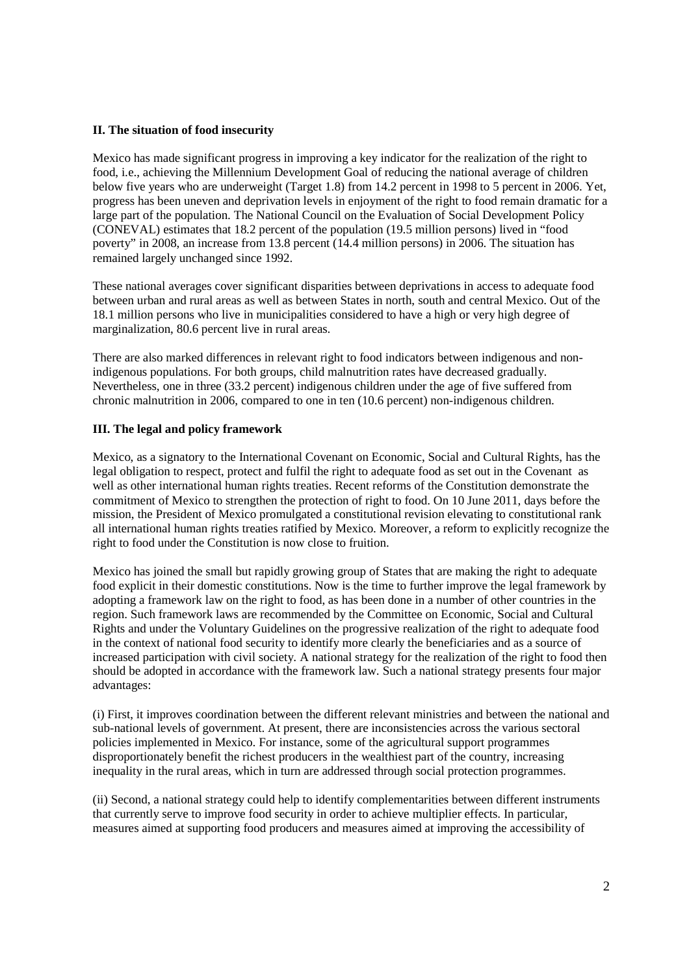# **II. The situation of food insecurity**

Mexico has made significant progress in improving a key indicator for the realization of the right to food, i.e., achieving the Millennium Development Goal of reducing the national average of children below five years who are underweight (Target 1.8) from 14.2 percent in 1998 to 5 percent in 2006. Yet, progress has been uneven and deprivation levels in enjoyment of the right to food remain dramatic for a large part of the population. The National Council on the Evaluation of Social Development Policy (CONEVAL) estimates that 18.2 percent of the population (19.5 million persons) lived in "food poverty" in 2008, an increase from 13.8 percent (14.4 million persons) in 2006. The situation has remained largely unchanged since 1992.

These national averages cover significant disparities between deprivations in access to adequate food between urban and rural areas as well as between States in north, south and central Mexico. Out of the 18.1 million persons who live in municipalities considered to have a high or very high degree of marginalization, 80.6 percent live in rural areas.

There are also marked differences in relevant right to food indicators between indigenous and nonindigenous populations. For both groups, child malnutrition rates have decreased gradually. Nevertheless, one in three (33.2 percent) indigenous children under the age of five suffered from chronic malnutrition in 2006, compared to one in ten (10.6 percent) non-indigenous children.

# **III. The legal and policy framework**

Mexico, as a signatory to the International Covenant on Economic, Social and Cultural Rights, has the legal obligation to respect, protect and fulfil the right to adequate food as set out in the Covenant as well as other international human rights treaties. Recent reforms of the Constitution demonstrate the commitment of Mexico to strengthen the protection of right to food. On 10 June 2011, days before the mission, the President of Mexico promulgated a constitutional revision elevating to constitutional rank all international human rights treaties ratified by Mexico. Moreover, a reform to explicitly recognize the right to food under the Constitution is now close to fruition.

Mexico has joined the small but rapidly growing group of States that are making the right to adequate food explicit in their domestic constitutions. Now is the time to further improve the legal framework by adopting a framework law on the right to food, as has been done in a number of other countries in the region. Such framework laws are recommended by the Committee on Economic, Social and Cultural Rights and under the Voluntary Guidelines on the progressive realization of the right to adequate food in the context of national food security to identify more clearly the beneficiaries and as a source of increased participation with civil society. A national strategy for the realization of the right to food then should be adopted in accordance with the framework law. Such a national strategy presents four major advantages:

(i) First, it improves coordination between the different relevant ministries and between the national and sub-national levels of government. At present, there are inconsistencies across the various sectoral policies implemented in Mexico. For instance, some of the agricultural support programmes disproportionately benefit the richest producers in the wealthiest part of the country, increasing inequality in the rural areas, which in turn are addressed through social protection programmes.

(ii) Second, a national strategy could help to identify complementarities between different instruments that currently serve to improve food security in order to achieve multiplier effects. In particular, measures aimed at supporting food producers and measures aimed at improving the accessibility of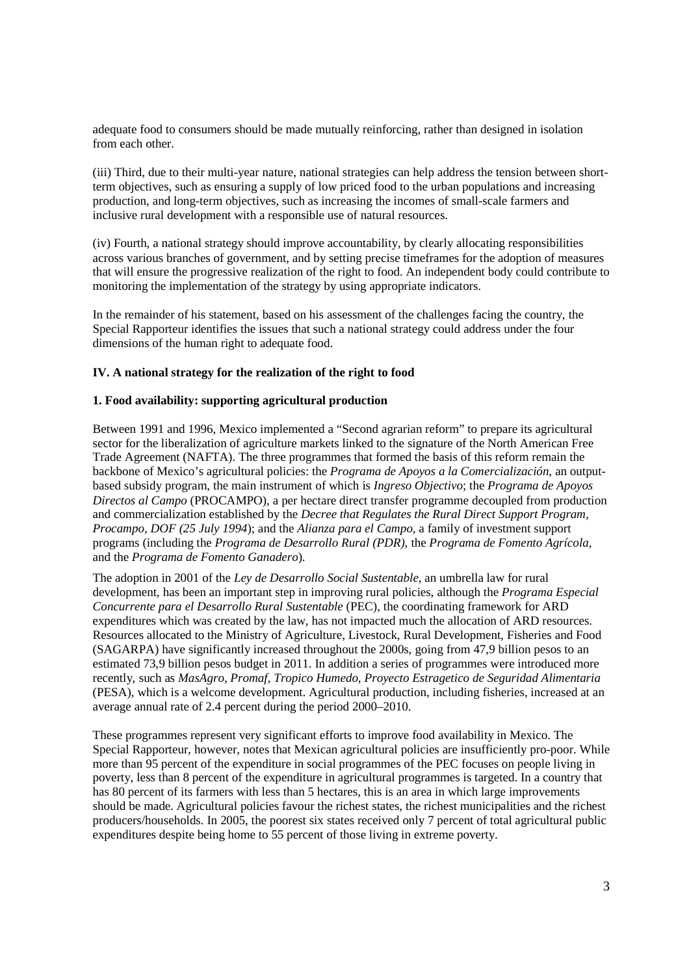adequate food to consumers should be made mutually reinforcing, rather than designed in isolation from each other.

(iii) Third, due to their multi-year nature, national strategies can help address the tension between shortterm objectives, such as ensuring a supply of low priced food to the urban populations and increasing production, and long-term objectives, such as increasing the incomes of small-scale farmers and inclusive rural development with a responsible use of natural resources.

(iv) Fourth, a national strategy should improve accountability, by clearly allocating responsibilities across various branches of government, and by setting precise timeframes for the adoption of measures that will ensure the progressive realization of the right to food. An independent body could contribute to monitoring the implementation of the strategy by using appropriate indicators.

In the remainder of his statement, based on his assessment of the challenges facing the country, the Special Rapporteur identifies the issues that such a national strategy could address under the four dimensions of the human right to adequate food.

# **IV. A national strategy for the realization of the right to food**

### **1. Food availability: supporting agricultural production**

Between 1991 and 1996, Mexico implemented a "Second agrarian reform" to prepare its agricultural sector for the liberalization of agriculture markets linked to the signature of the North American Free Trade Agreement (NAFTA). The three programmes that formed the basis of this reform remain the backbone of Mexico's agricultural policies: the *Programa de Apoyos a la Comercialización*, an outputbased subsidy program, the main instrument of which is *Ingreso Objectivo*; the *Programa de Apoyos Directos al Campo* (PROCAMPO), a per hectare direct transfer programme decoupled from production and commercialization established by the *Decree that Regulates the Rural Direct Support Program, Procampo, DOF (25 July 1994*); and the *Alianza para el Campo*, a family of investment support programs (including the *Programa de Desarrollo Rural (PDR)*, the *Programa de Fomento Agrícola*, and the *Programa de Fomento Ganadero*).

The adoption in 2001 of the *Ley de Desarrollo Social Sustentable,* an umbrella law for rural development, has been an important step in improving rural policies, although the *Programa Especial Concurrente para el Desarrollo Rural Sustentable* (PEC), the coordinating framework for ARD expenditures which was created by the law, has not impacted much the allocation of ARD resources. Resources allocated to the Ministry of Agriculture, Livestock, Rural Development, Fisheries and Food (SAGARPA) have significantly increased throughout the 2000s, going from 47,9 billion pesos to an estimated 73,9 billion pesos budget in 2011. In addition a series of programmes were introduced more recently, such as *MasAgro, Promaf, Tropico Humedo, Proyecto Estragetico de Seguridad Alimentaria* (PESA), which is a welcome development. Agricultural production, including fisheries, increased at an average annual rate of 2.4 percent during the period 2000–2010.

These programmes represent very significant efforts to improve food availability in Mexico. The Special Rapporteur, however, notes that Mexican agricultural policies are insufficiently pro-poor. While more than 95 percent of the expenditure in social programmes of the PEC focuses on people living in poverty, less than 8 percent of the expenditure in agricultural programmes is targeted. In a country that has 80 percent of its farmers with less than 5 hectares, this is an area in which large improvements should be made. Agricultural policies favour the richest states, the richest municipalities and the richest producers/households. In 2005, the poorest six states received only 7 percent of total agricultural public expenditures despite being home to 55 percent of those living in extreme poverty.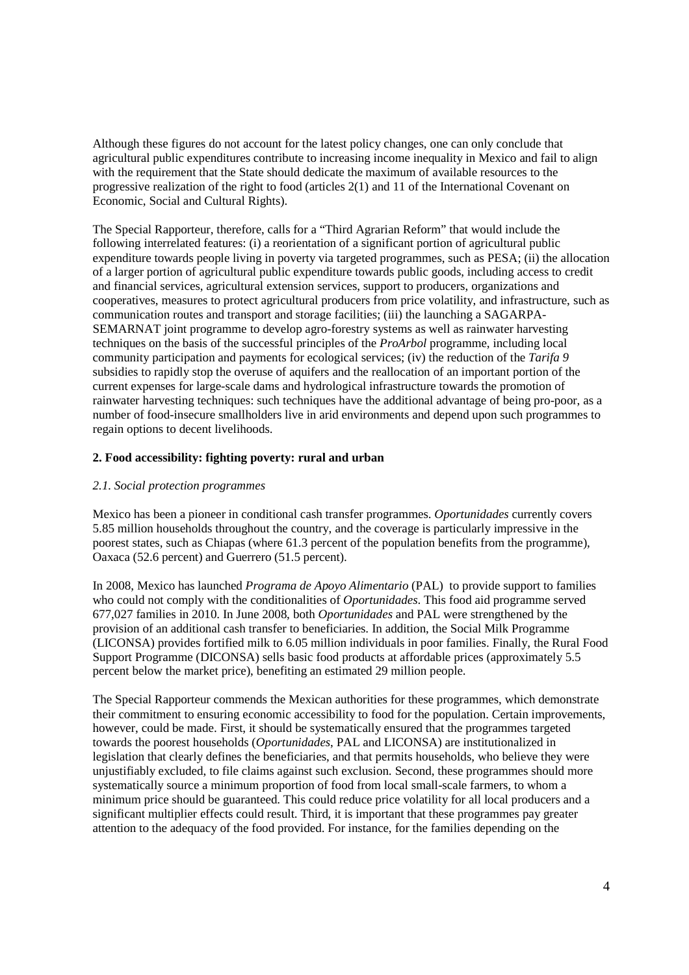Although these figures do not account for the latest policy changes, one can only conclude that agricultural public expenditures contribute to increasing income inequality in Mexico and fail to align with the requirement that the State should dedicate the maximum of available resources to the progressive realization of the right to food (articles 2(1) and 11 of the International Covenant on Economic, Social and Cultural Rights).

The Special Rapporteur, therefore, calls for a "Third Agrarian Reform" that would include the following interrelated features: (i) a reorientation of a significant portion of agricultural public expenditure towards people living in poverty via targeted programmes, such as PESA; (ii) the allocation of a larger portion of agricultural public expenditure towards public goods, including access to credit and financial services, agricultural extension services, support to producers, organizations and cooperatives, measures to protect agricultural producers from price volatility, and infrastructure, such as communication routes and transport and storage facilities; (iii) the launching a SAGARPA-SEMARNAT joint programme to develop agro-forestry systems as well as rainwater harvesting techniques on the basis of the successful principles of the *ProArbol* programme, including local community participation and payments for ecological services; (iv) the reduction of the *Tarifa 9* subsidies to rapidly stop the overuse of aquifers and the reallocation of an important portion of the current expenses for large-scale dams and hydrological infrastructure towards the promotion of rainwater harvesting techniques: such techniques have the additional advantage of being pro-poor, as a number of food-insecure smallholders live in arid environments and depend upon such programmes to regain options to decent livelihoods.

# **2. Food accessibility: fighting poverty: rural and urban**

# *2.1. Social protection programmes*

Mexico has been a pioneer in conditional cash transfer programmes. *Oportunidades* currently covers 5.85 million households throughout the country, and the coverage is particularly impressive in the poorest states, such as Chiapas (where 61.3 percent of the population benefits from the programme), Oaxaca (52.6 percent) and Guerrero (51.5 percent).

In 2008, Mexico has launched *Programa de Apoyo Alimentario* (PAL) to provide support to families who could not comply with the conditionalities of *Oportunidades*. This food aid programme served 677,027 families in 2010. In June 2008, both *Oportunidades* and PAL were strengthened by the provision of an additional cash transfer to beneficiaries. In addition, the Social Milk Programme (LICONSA) provides fortified milk to 6.05 million individuals in poor families. Finally, the Rural Food Support Programme (DICONSA) sells basic food products at affordable prices (approximately 5.5 percent below the market price), benefiting an estimated 29 million people.

The Special Rapporteur commends the Mexican authorities for these programmes, which demonstrate their commitment to ensuring economic accessibility to food for the population. Certain improvements, however, could be made. First, it should be systematically ensured that the programmes targeted towards the poorest households (*Oportunidades*, PAL and LICONSA) are institutionalized in legislation that clearly defines the beneficiaries, and that permits households, who believe they were unjustifiably excluded, to file claims against such exclusion. Second, these programmes should more systematically source a minimum proportion of food from local small-scale farmers, to whom a minimum price should be guaranteed. This could reduce price volatility for all local producers and a significant multiplier effects could result. Third, it is important that these programmes pay greater attention to the adequacy of the food provided. For instance, for the families depending on the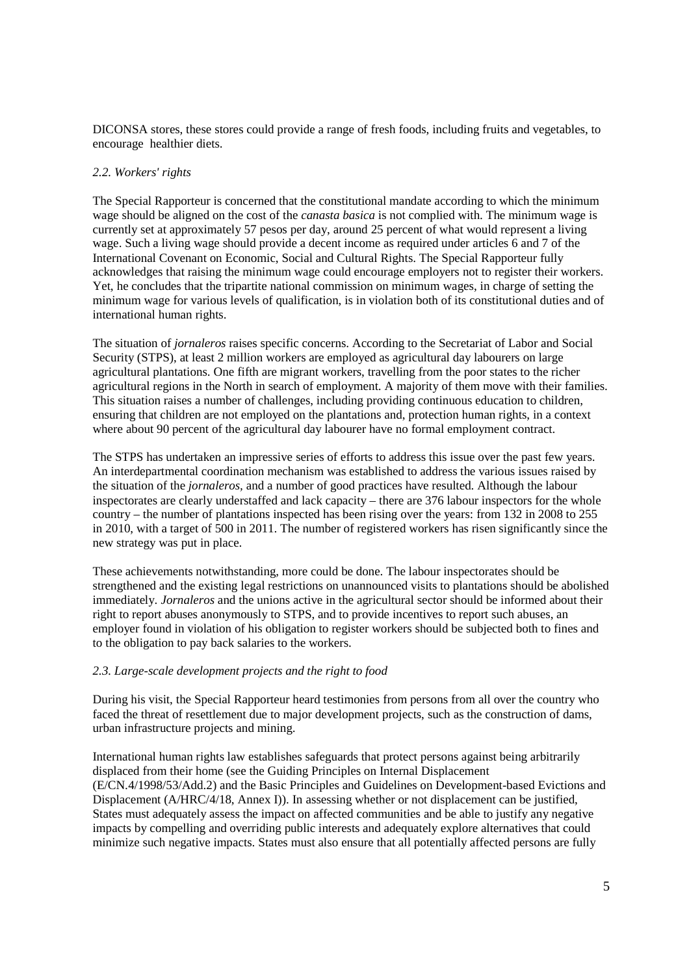DICONSA stores, these stores could provide a range of fresh foods, including fruits and vegetables, to encourage healthier diets.

### *2.2. Workers' rights*

The Special Rapporteur is concerned that the constitutional mandate according to which the minimum wage should be aligned on the cost of the *canasta basica* is not complied with. The minimum wage is currently set at approximately 57 pesos per day, around 25 percent of what would represent a living wage. Such a living wage should provide a decent income as required under articles 6 and 7 of the International Covenant on Economic, Social and Cultural Rights. The Special Rapporteur fully acknowledges that raising the minimum wage could encourage employers not to register their workers. Yet, he concludes that the tripartite national commission on minimum wages, in charge of setting the minimum wage for various levels of qualification, is in violation both of its constitutional duties and of international human rights.

The situation of *jornaleros* raises specific concerns. According to the Secretariat of Labor and Social Security (STPS), at least 2 million workers are employed as agricultural day labourers on large agricultural plantations. One fifth are migrant workers, travelling from the poor states to the richer agricultural regions in the North in search of employment. A majority of them move with their families. This situation raises a number of challenges, including providing continuous education to children, ensuring that children are not employed on the plantations and, protection human rights, in a context where about 90 percent of the agricultural day labourer have no formal employment contract.

The STPS has undertaken an impressive series of efforts to address this issue over the past few years. An interdepartmental coordination mechanism was established to address the various issues raised by the situation of the *jornaleros,* and a number of good practices have resulted. Although the labour inspectorates are clearly understaffed and lack capacity – there are 376 labour inspectors for the whole country – the number of plantations inspected has been rising over the years: from 132 in 2008 to 255 in 2010, with a target of 500 in 2011. The number of registered workers has risen significantly since the new strategy was put in place.

These achievements notwithstanding, more could be done. The labour inspectorates should be strengthened and the existing legal restrictions on unannounced visits to plantations should be abolished immediately. *Jornaleros* and the unions active in the agricultural sector should be informed about their right to report abuses anonymously to STPS, and to provide incentives to report such abuses, an employer found in violation of his obligation to register workers should be subjected both to fines and to the obligation to pay back salaries to the workers.

# *2.3. Large-scale development projects and the right to food*

During his visit, the Special Rapporteur heard testimonies from persons from all over the country who faced the threat of resettlement due to major development projects, such as the construction of dams, urban infrastructure projects and mining.

International human rights law establishes safeguards that protect persons against being arbitrarily displaced from their home (see the Guiding Principles on Internal Displacement (E/CN.4/1998/53/Add.2) and the Basic Principles and Guidelines on Development-based Evictions and Displacement (A/HRC/4/18, Annex I)). In assessing whether or not displacement can be justified, States must adequately assess the impact on affected communities and be able to justify any negative impacts by compelling and overriding public interests and adequately explore alternatives that could minimize such negative impacts. States must also ensure that all potentially affected persons are fully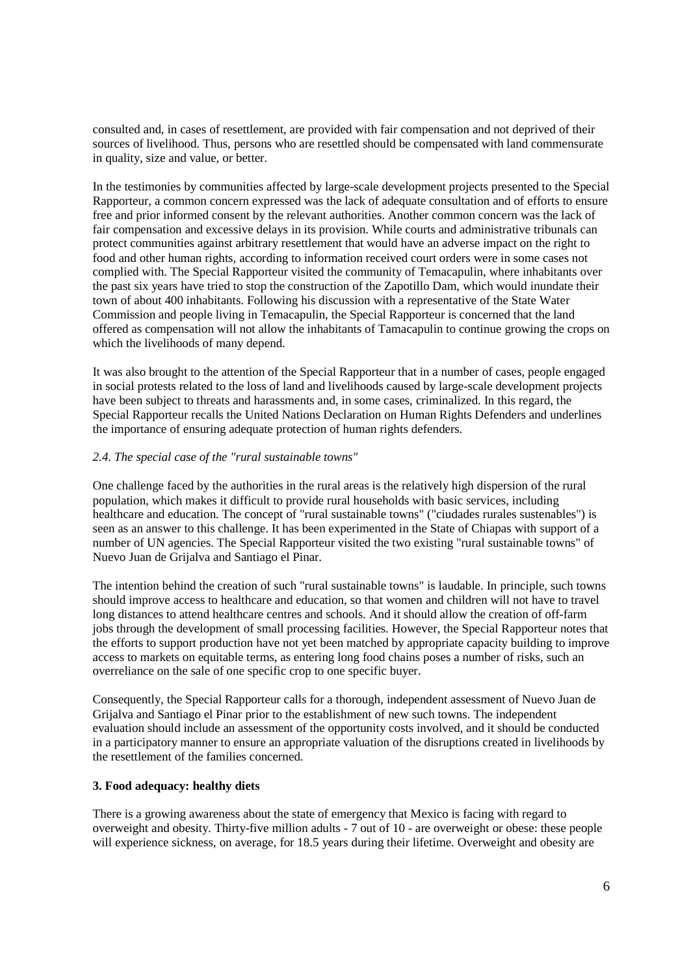consulted and, in cases of resettlement, are provided with fair compensation and not deprived of their sources of livelihood. Thus, persons who are resettled should be compensated with land commensurate in quality, size and value, or better.

In the testimonies by communities affected by large-scale development projects presented to the Special Rapporteur, a common concern expressed was the lack of adequate consultation and of efforts to ensure free and prior informed consent by the relevant authorities. Another common concern was the lack of fair compensation and excessive delays in its provision. While courts and administrative tribunals can protect communities against arbitrary resettlement that would have an adverse impact on the right to food and other human rights, according to information received court orders were in some cases not complied with. The Special Rapporteur visited the community of Temacapulin, where inhabitants over the past six years have tried to stop the construction of the Zapotillo Dam, which would inundate their town of about 400 inhabitants. Following his discussion with a representative of the State Water Commission and people living in Temacapulin, the Special Rapporteur is concerned that the land offered as compensation will not allow the inhabitants of Tamacapulin to continue growing the crops on which the livelihoods of many depend.

It was also brought to the attention of the Special Rapporteur that in a number of cases, people engaged in social protests related to the loss of land and livelihoods caused by large-scale development projects have been subject to threats and harassments and, in some cases, criminalized. In this regard, the Special Rapporteur recalls the United Nations Declaration on Human Rights Defenders and underlines the importance of ensuring adequate protection of human rights defenders.

### *2.4. The special case of the "rural sustainable towns"*

One challenge faced by the authorities in the rural areas is the relatively high dispersion of the rural population, which makes it difficult to provide rural households with basic services, including healthcare and education. The concept of "rural sustainable towns" ("ciudades rurales sustenables") is seen as an answer to this challenge. It has been experimented in the State of Chiapas with support of a number of UN agencies. The Special Rapporteur visited the two existing "rural sustainable towns" of Nuevo Juan de Grijalva and Santiago el Pinar.

The intention behind the creation of such "rural sustainable towns" is laudable. In principle, such towns should improve access to healthcare and education, so that women and children will not have to travel long distances to attend healthcare centres and schools. And it should allow the creation of off-farm jobs through the development of small processing facilities. However, the Special Rapporteur notes that the efforts to support production have not yet been matched by appropriate capacity building to improve access to markets on equitable terms, as entering long food chains poses a number of risks, such an overreliance on the sale of one specific crop to one specific buyer.

Consequently, the Special Rapporteur calls for a thorough, independent assessment of Nuevo Juan de Grijalva and Santiago el Pinar prior to the establishment of new such towns. The independent evaluation should include an assessment of the opportunity costs involved, and it should be conducted in a participatory manner to ensure an appropriate valuation of the disruptions created in livelihoods by the resettlement of the families concerned.

### **3. Food adequacy: healthy diets**

There is a growing awareness about the state of emergency that Mexico is facing with regard to overweight and obesity. Thirty-five million adults - 7 out of 10 - are overweight or obese: these people will experience sickness, on average, for 18.5 years during their lifetime. Overweight and obesity are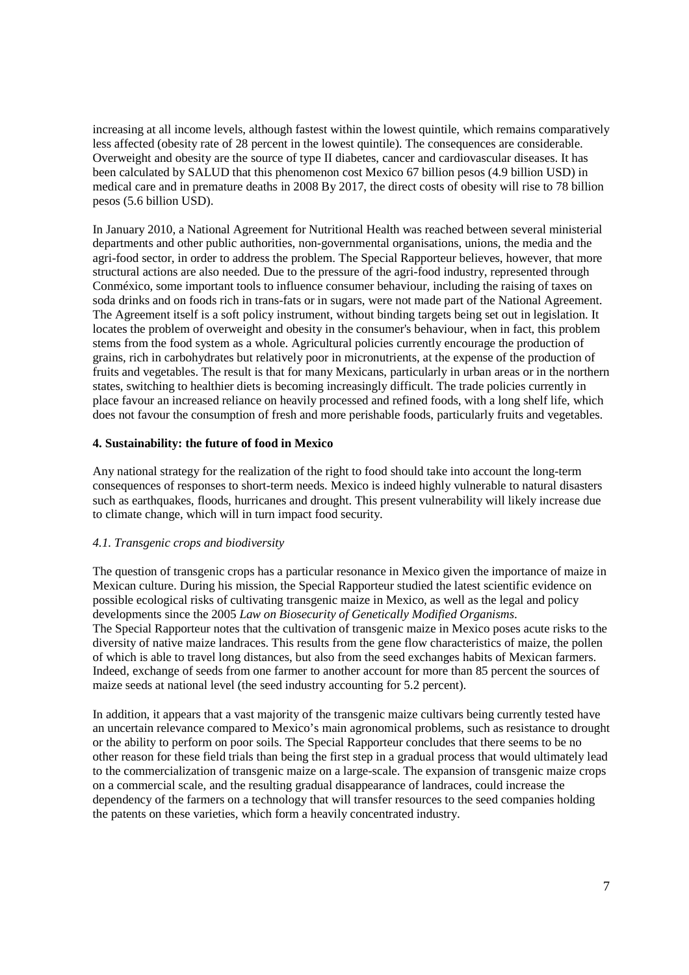increasing at all income levels, although fastest within the lowest quintile, which remains comparatively less affected (obesity rate of 28 percent in the lowest quintile). The consequences are considerable. Overweight and obesity are the source of type II diabetes, cancer and cardiovascular diseases. It has been calculated by SALUD that this phenomenon cost Mexico 67 billion pesos (4.9 billion USD) in medical care and in premature deaths in 2008 By 2017, the direct costs of obesity will rise to 78 billion pesos (5.6 billion USD).

In January 2010, a National Agreement for Nutritional Health was reached between several ministerial departments and other public authorities, non-governmental organisations, unions, the media and the agri-food sector, in order to address the problem. The Special Rapporteur believes, however, that more structural actions are also needed. Due to the pressure of the agri-food industry, represented through Conméxico, some important tools to influence consumer behaviour, including the raising of taxes on soda drinks and on foods rich in trans-fats or in sugars, were not made part of the National Agreement. The Agreement itself is a soft policy instrument, without binding targets being set out in legislation. It locates the problem of overweight and obesity in the consumer's behaviour, when in fact, this problem stems from the food system as a whole. Agricultural policies currently encourage the production of grains, rich in carbohydrates but relatively poor in micronutrients, at the expense of the production of fruits and vegetables. The result is that for many Mexicans, particularly in urban areas or in the northern states, switching to healthier diets is becoming increasingly difficult. The trade policies currently in place favour an increased reliance on heavily processed and refined foods, with a long shelf life, which does not favour the consumption of fresh and more perishable foods, particularly fruits and vegetables.

# **4. Sustainability: the future of food in Mexico**

Any national strategy for the realization of the right to food should take into account the long-term consequences of responses to short-term needs. Mexico is indeed highly vulnerable to natural disasters such as earthquakes, floods, hurricanes and drought. This present vulnerability will likely increase due to climate change, which will in turn impact food security.

# *4.1. Transgenic crops and biodiversity*

The question of transgenic crops has a particular resonance in Mexico given the importance of maize in Mexican culture. During his mission, the Special Rapporteur studied the latest scientific evidence on possible ecological risks of cultivating transgenic maize in Mexico, as well as the legal and policy developments since the 2005 *Law on Biosecurity of Genetically Modified Organisms*. The Special Rapporteur notes that the cultivation of transgenic maize in Mexico poses acute risks to the diversity of native maize landraces. This results from the gene flow characteristics of maize, the pollen of which is able to travel long distances, but also from the seed exchanges habits of Mexican farmers. Indeed, exchange of seeds from one farmer to another account for more than 85 percent the sources of maize seeds at national level (the seed industry accounting for 5.2 percent).

In addition, it appears that a vast majority of the transgenic maize cultivars being currently tested have an uncertain relevance compared to Mexico's main agronomical problems, such as resistance to drought or the ability to perform on poor soils. The Special Rapporteur concludes that there seems to be no other reason for these field trials than being the first step in a gradual process that would ultimately lead to the commercialization of transgenic maize on a large-scale. The expansion of transgenic maize crops on a commercial scale, and the resulting gradual disappearance of landraces, could increase the dependency of the farmers on a technology that will transfer resources to the seed companies holding the patents on these varieties, which form a heavily concentrated industry.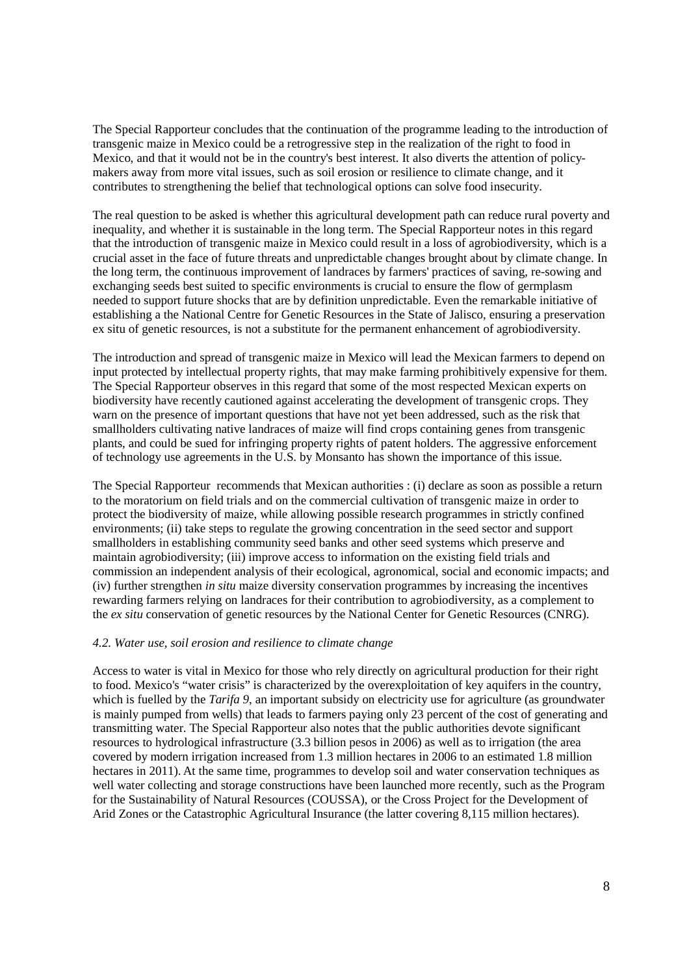The Special Rapporteur concludes that the continuation of the programme leading to the introduction of transgenic maize in Mexico could be a retrogressive step in the realization of the right to food in Mexico, and that it would not be in the country's best interest. It also diverts the attention of policymakers away from more vital issues, such as soil erosion or resilience to climate change, and it contributes to strengthening the belief that technological options can solve food insecurity.

The real question to be asked is whether this agricultural development path can reduce rural poverty and inequality, and whether it is sustainable in the long term. The Special Rapporteur notes in this regard that the introduction of transgenic maize in Mexico could result in a loss of agrobiodiversity, which is a crucial asset in the face of future threats and unpredictable changes brought about by climate change. In the long term, the continuous improvement of landraces by farmers' practices of saving, re-sowing and exchanging seeds best suited to specific environments is crucial to ensure the flow of germplasm needed to support future shocks that are by definition unpredictable. Even the remarkable initiative of establishing a the National Centre for Genetic Resources in the State of Jalisco, ensuring a preservation ex situ of genetic resources, is not a substitute for the permanent enhancement of agrobiodiversity.

The introduction and spread of transgenic maize in Mexico will lead the Mexican farmers to depend on input protected by intellectual property rights, that may make farming prohibitively expensive for them. The Special Rapporteur observes in this regard that some of the most respected Mexican experts on biodiversity have recently cautioned against accelerating the development of transgenic crops. They warn on the presence of important questions that have not yet been addressed, such as the risk that smallholders cultivating native landraces of maize will find crops containing genes from transgenic plants, and could be sued for infringing property rights of patent holders. The aggressive enforcement of technology use agreements in the U.S. by Monsanto has shown the importance of this issue.

The Special Rapporteur recommends that Mexican authorities : (i) declare as soon as possible a return to the moratorium on field trials and on the commercial cultivation of transgenic maize in order to protect the biodiversity of maize, while allowing possible research programmes in strictly confined environments; (ii) take steps to regulate the growing concentration in the seed sector and support smallholders in establishing community seed banks and other seed systems which preserve and maintain agrobiodiversity; (iii) improve access to information on the existing field trials and commission an independent analysis of their ecological, agronomical, social and economic impacts; and (iv) further strengthen *in situ* maize diversity conservation programmes by increasing the incentives rewarding farmers relying on landraces for their contribution to agrobiodiversity, as a complement to the *ex situ* conservation of genetic resources by the National Center for Genetic Resources (CNRG).

### *4.2. Water use, soil erosion and resilience to climate change*

Access to water is vital in Mexico for those who rely directly on agricultural production for their right to food. Mexico's "water crisis" is characterized by the overexploitation of key aquifers in the country, which is fuelled by the *Tarifa 9*, an important subsidy on electricity use for agriculture (as groundwater is mainly pumped from wells) that leads to farmers paying only 23 percent of the cost of generating and transmitting water. The Special Rapporteur also notes that the public authorities devote significant resources to hydrological infrastructure (3.3 billion pesos in 2006) as well as to irrigation (the area covered by modern irrigation increased from 1.3 million hectares in 2006 to an estimated 1.8 million hectares in 2011). At the same time, programmes to develop soil and water conservation techniques as well water collecting and storage constructions have been launched more recently, such as the Program for the Sustainability of Natural Resources (COUSSA), or the Cross Project for the Development of Arid Zones or the Catastrophic Agricultural Insurance (the latter covering 8,115 million hectares).